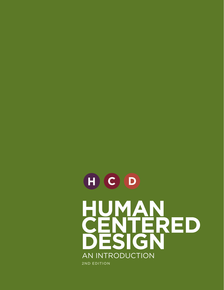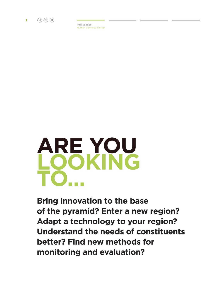

Introduction Human Centered Design



**Bring innovation to the base of the pyramid? Enter a new region? Adapt a technology to your region? Understand the needs of constituents better? Find new methods for monitoring and evaluation?**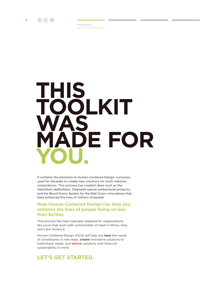

Introduction Human Centered Design



It contains the elements to Human-Centered Design, a process used for decades to create new solutions for multi-national corporations. This process has created ideas such as the HeartStart defibrillator, Cleanwell natural antibacterial products, and the Blood Donor System for the Red Cross—innovations that have enhanced the lives of millions of people.

### **Now Human-Centered Design can help you enhance the lives of people living on less than \$2/day.**

This process has been specially-adapted for organizations like yours that work with communities of need in Africa, Asia, and Latin America.

Human-Centered Design (HCD) will help you **hear** the needs of constituents in new ways, **create** innovative solutions to meet these needs, and **deliver** solutions with financial sustainability in mind.

## **Let's get started.**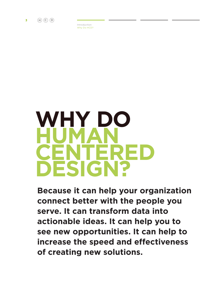

Introduction Why Do HCD?



**Because it can help your organization connect better with the people you serve. It can transform data into actionable ideas. It can help you to see new opportunities. It can help to increase the speed and effectiveness of creating new solutions.**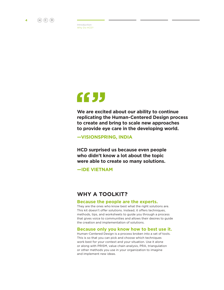

Introduction Why Do HCD?

## 6655

**We are excited about our ability to continue replicating the Human-Centered Design process to create and bring to scale new approaches to provide eye care in the developing world.**

**—VISIONSPRING, INDIA**

**HCD surprised us because even people who didn't know a lot about the topic were able to create so many solutions.** 

**—IDE Vietnam**

## **Why a toolkit?**

### **Because the people are the experts.**

They are the ones who know best what the right solutions are. This kit doesn't offer solutions. Instead, it offers techniques, methods, tips, and worksheets to guide you through a process that gives voice to communities and allows their desires to guide the creation and implementation of solutions.

### **Because only you know how to best use it.**

Human-Centered Design is a process broken into a set of tools. This is so that you can pick and choose which techniques work best for your context and your situation. Use it alone or along with PRISM, value chain analysis, PRA, triangulation or other methods you use in your organization to imagine and implement new ideas.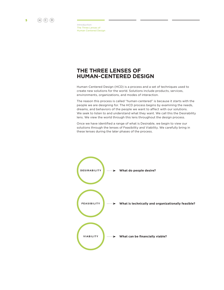

Introduction The Three Lenses of Human Centered Design

## **THE THREE LENSES OF HUMAN-CENTERED DESIGN**

Human-Centered Design (HCD) is a process and a set of techniques used to create new solutions for the world. Solutions include products, services, environments, organizations, and modes of interaction.

The reason this process is called "human-centered" is because it starts with the people we are designing for. The HCD process begins by examining the needs, dreams, and behaviors of the people we want to affect with our solutions. We seek to listen to and understand what they want. We call this the Desirability lens. We view the world through this lens throughout the design process.

Once we have identified a range of what is Desirable, we begin to view our solutions through the lenses of Feasibility and Viability. We carefully bring in these lenses during the later phases of the process.

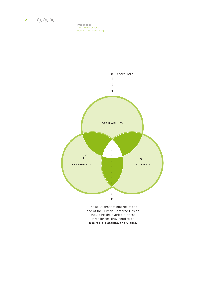

Introduction The Three Lenses of Human Centered Design



The solutions that emerge at the end of the Human-Centered Design should hit the overlap of these three lenses; they need to be **Desirable, Feasible, and Viable.**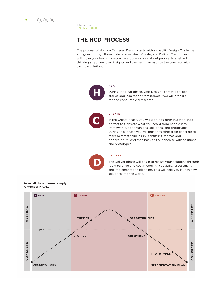

Introduction The HCD Process

## **tHe HCD ProCess**

The process of Human-Centered Design starts with a specific Design Challenge and goes through three main phases: Hear, Create, and Deliver. The process will move your team from concrete observations about people, to abstract thinking as you uncover insights and themes, then back to the concrete with tangible solutions.



During the Hear phase, your Design Team will collect stories and inspiration from people. You will prepare for and conduct field research.

### **CreAte**

**HeAr**

In the Create phase, you will work together in a workshop format to translate what you heard from people into frameworks, opportunities, solutions, and prototypes. During this phase you will move together from concrete to more abstract thinking in identifying themes and opportunities, and then back to the concrete with solutions and prototypes.

### **DeliVer**

The Deliver phase will begin to realize your solutions through rapid revenue and cost modeling, capability assessment, and implementation planning. This will help you launch new solutions into the world.

To recall these phases, simply remember H-C-D.

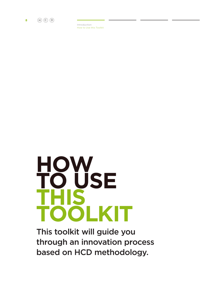

Introduction How to Use this Toolkit



This toolkit will guide you through an innovation process based on HCD methodology.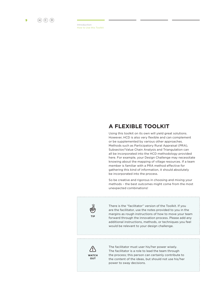

Introduction How to Use this Toolkit

## **A FleXiBle toolkit**

Using this toolkit on its own will yield great solutions. However, HCD is also very flexible and can complement or be supplemented by various other approaches. Methods such as Participatory Rural Appraisal (PRA), Subsector/Value Chain Analysis and Triangulation can all be incorporated into the HCD methodology provided here. For example, your Design Challenge may necessitate knowing about the mapping of village resources. If a team member is familiar with a PRA method effective for gathering this kind of information, it should absolutely be incorporated into the process.

So be creative and rigorous in choosing and mixing your methods – the best outcomes might come from the most unexpected combinations!



There is the "facilitator" version of the Toolkit. If you are the facilitator, use the notes provided to you in the margins as rough instructions of how to move your team forward through the innovation process. Please add any additional instructions, methods, or techniques you feel would be relevant to your design challenge.



The facilitator must user his/her power wisely. The facilitator is a role to lead the team through the process; this person can certainly contribute to the content of the ideas, but should not use his/her power to sway decisions.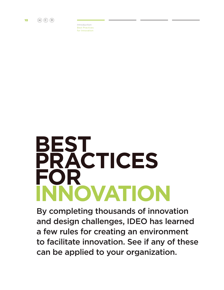

Introduction Best Practices for Innovation

## **BEST PRACTICES FOR Innovation**

By completing thousands of innovation and design challenges, IDEO has learned a few rules for creating an environment to facilitate innovation. See if any of these can be applied to your organization.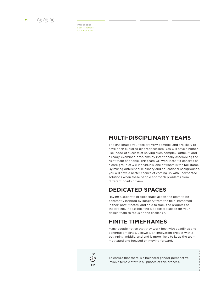

Introduction Best Practices for Innovation

## **multi-DisCiPlinAry teAms**

The challenges you face are very complex and are likely to have been explored by predecessors. You will have a higher likelihood of success at solving such complex, difficult, and already-examined problems by intentionally assembling the right team of people. This team will work best if it consists of a core group of 3-8 individuals, one of whom is the facilitator. By mixing different disciplinary and educational backgrounds, you will have a better chance of coming up with unexpected solutions when these people approach problems from different points of view.

## **DeDiCAteD sPACes**

Having a separate project space allows the team to be constantly inspired by imagery from the field, immersed in their post-it notes, and able to track the progress of the project. If possible, find a dedicated space for your design team to focus on the challenge.

## **Finite timeFrAmes**

Many people notice that they work best with deadlines and concrete timelines. Likewise, an innovation project with a beginning, middle, and end is more likely to keep the team motivated and focused on moving forward.



To ensure that there is a balanced gender perspective, involve female staff in all phases of this process.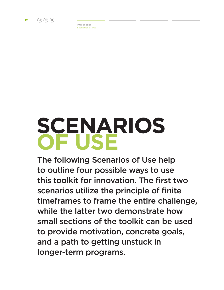

# **SCENARIOS OF USE**

The following Scenarios of Use help to outline four possible ways to use this toolkit for innovation. The first two scenarios utilize the principle of finite timeframes to frame the entire challenge, while the latter two demonstrate how small sections of the toolkit can be used to provide motivation, concrete goals, and a path to getting unstuck in longer-term programs.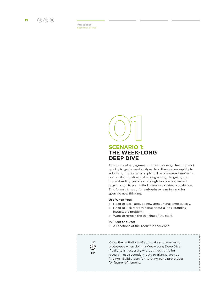

## **sCenArio 1: tHe week-long DeeP DiVe**

This mode of engagement forces the design team to work quickly to gather and analyze data, then moves rapidly to solutions, prototypes and plans. The one-week timeframe is a familiar timeline that is long enough to gain good understanding, yet short enough to allow a stressed organization to put limited resources against a challenge. This format is good for early-phase learning and for spurring new thinking.

### **use when you:**

- » Need to learn about a new area or challenge quickly.
- » Need to kick-start thinking about a long-standing intractable problem.
- » Want to refresh the thinking of the staff.

### **Pull Out and Use:**

» All sections of the Toolkit in sequence.



Know the limitations of your data and your early prototypes when doing a Week-Long Deep Dive. If validity is necessary without much time for research, use secondary data to triangulate your findings. Build a plan for iterating early prototypes for future refinement.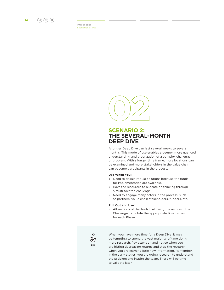



### **sCenArio 2: tHe seVerAl-montH DeeP DiVe**

A longer Deep Dive can last several weeks to several months. This mode of use enables a deeper, more nuanced understanding and theorization of a complex challenge or problem. With a longer time frame, more locations can be examined and more stakeholders in the value chain can become participants in the process.

### **use when you:**

- » Need to design robust solutions because the funds for implementation are available.
- » Have the resources to allocate on thinking through a multi-faceted challenge.
- » Need to engage many actors in the process, such as partners, value chain stakeholders, funders, etc.

### **Pull out and use:**

» All sections of the Toolkit, allowing the nature of the Challenge to dictate the appropriate timeframes for each Phase.



When you have more time for a Deep Dive, it may be tempting to spend the vast majority of time doing more research. Pay attention and notice when you are hitting decreasing returns and stop the research when you are learning little new information. Remember, in the early stages, you are doing research to understand the problem and inspire the team. There will be time to validate later.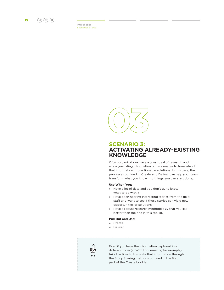



### **sCenArio 3: ACtiVAting AlreADy-eXisting knowleDge**

Often organizations have a great deal of research and already-existing information but are unable to translate all that information into actionable solutions. In this case, the processes outlined in Create and Deliver can help your team transform what you know into things you can start doing.

#### **use when you:**

- » Have a lot of data and you don't quite know what to do with it.
- » Have been hearing interesting stories from the field staff and want to see if those stories can yield new opportunities or solutions.
- » Have a robust research methodology that you like better than the one in this toolkit.

### **Pull out and use:**

- » Create
- » Deliver



Even if you have the information captured in a different form (in Word documents, for example), take the time to translate that information through the Story Sharing methods outlined in the first part of the Create booklet.